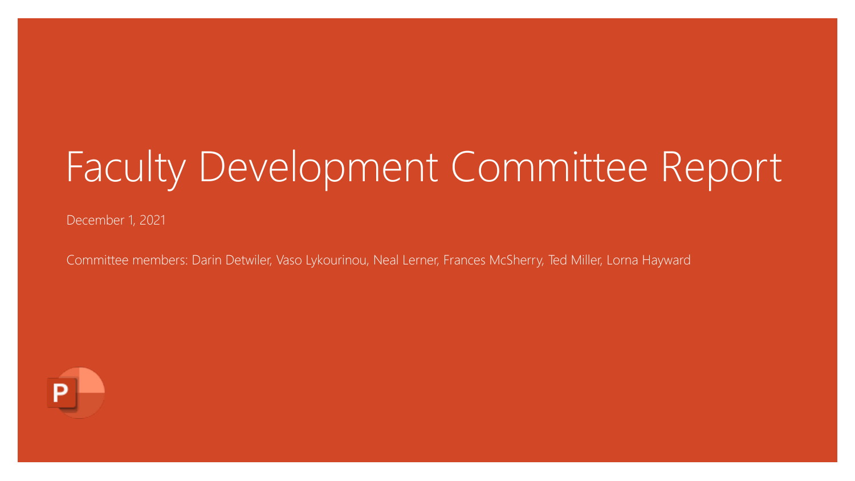# Faculty Development Committee Report

December 1, 2021

Committee members: Darin Detwiler, Vaso Lykourinou, Neal Lerner, Frances McSherry, Ted Miller, Lorna Hayward

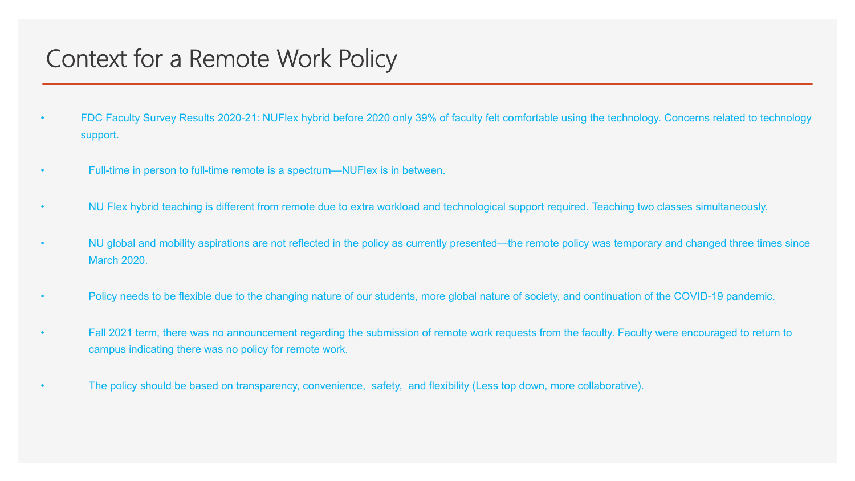### Context for a Remote Work Policy

- FDC Faculty Survey Results 2020-21: NUFlex hybrid before 2020 only 39% of faculty felt comfortable using the technology. Concerns related to technology support.
- Full-time in person to full-time remote is a spectrum—NUFlex is in between.
- NU Flex hybrid teaching is different from remote due to extra workload and technological support required. Teaching two classes simultaneously.
- NU global and mobility aspirations are not reflected in the policy as currently presented—the remote policy was temporary and changed three times since March 2020.
- Policy needs to be flexible due to the changing nature of our students, more global nature of society, and continuation of the COVID-19 pandemic.
- Fall 2021 term, there was no announcement regarding the submission of remote work requests from the faculty. Faculty were encouraged to return to campus indicating there was no policy for remote work.
- The policy should be based on transparency, convenience, safety, and flexibility (Less top down, more collaborative).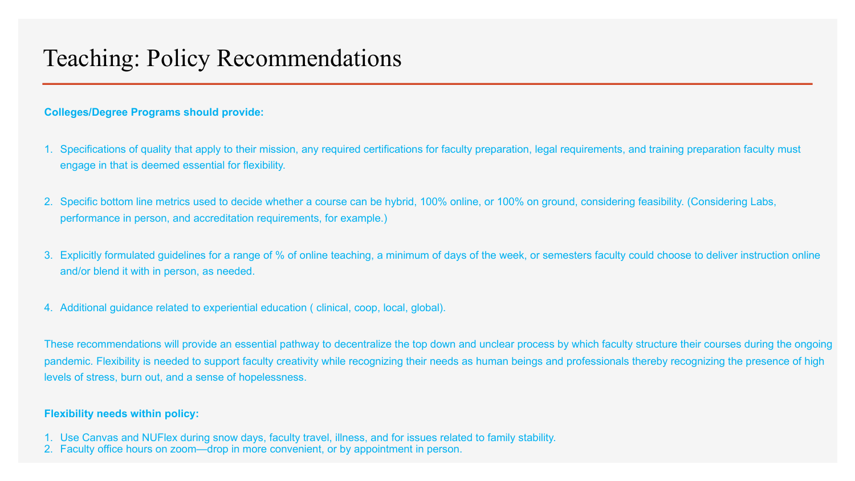### Teaching: Policy Recommendations

#### **Colleges/Degree Programs should provide:**

- 1. Specifications of quality that apply to their mission, any required certifications for faculty preparation, legal requirements, and training preparation faculty must engage in that is deemed essential for flexibility.
- 2. Specific bottom line metrics used to decide whether a course can be hybrid, 100% online, or 100% on ground, considering feasibility. (Considering Labs, performance in person, and accreditation requirements, for example.)
- 3. Explicitly formulated guidelines for a range of % of online teaching, a minimum of days of the week, or semesters faculty could choose to deliver instruction online and/or blend it with in person, as needed.
- 4. Additional guidance related to experiential education ( clinical, coop, local, global).

These recommendations will provide an essential pathway to decentralize the top down and unclear process by which faculty structure their courses during the ongoing pandemic. Flexibility is needed to support faculty creativity while recognizing their needs as human beings and professionals thereby recognizing the presence of high levels of stress, burn out, and a sense of hopelessness.

#### **Flexibility needs within policy:**

- 1. Use Canvas and NUFlex during snow days, faculty travel, illness, and for issues related to family stability.
- 2. Faculty office hours on zoom—drop in more convenient, or by appointment in person.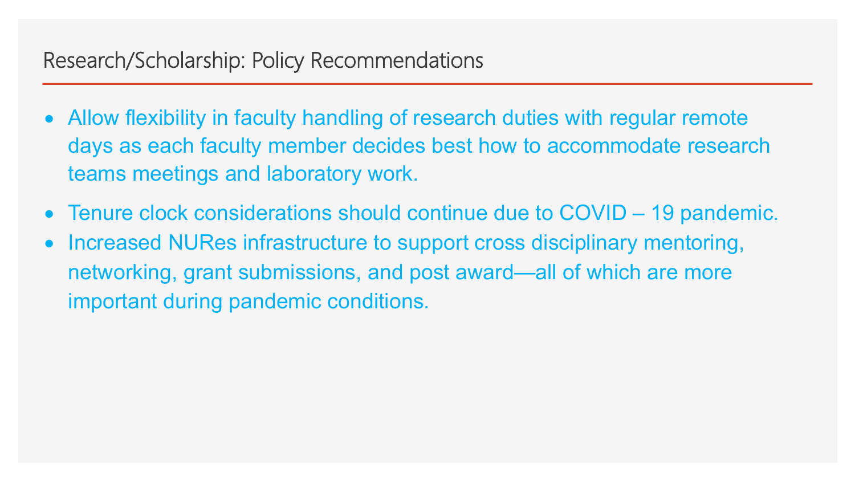### Research/Scholarship: Policy Recommendations

- Allow flexibility in faculty handling of research duties with regular remote days as each faculty member decides best how to accommodate research teams meetings and laboratory work.
- Tenure clock considerations should continue due to COVID 19 pandemic.
- Increased NURes infrastructure to support cross disciplinary mentoring, networking, grant submissions, and post award—all of which are more important during pandemic conditions.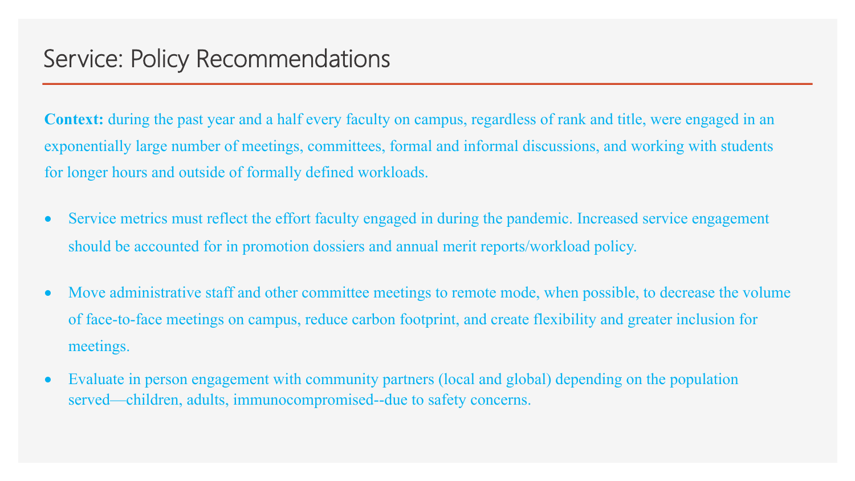**Context:** during the past year and a half every faculty on campus, regardless of rank and title, were engaged in an exponentially large number of meetings, committees, formal and informal discussions, and working with students for longer hours and outside of formally defined workloads.

- Service metrics must reflect the effort faculty engaged in during the pandemic. Increased service engagement should be accounted for in promotion dossiers and annual merit reports/workload policy.
- Move administrative staff and other committee meetings to remote mode, when possible, to decrease the volume of face-to-face meetings on campus, reduce carbon footprint, and create flexibility and greater inclusion for meetings.
- Evaluate in person engagement with community partners (local and global) depending on the population served—children, adults, immunocompromised--due to safety concerns.